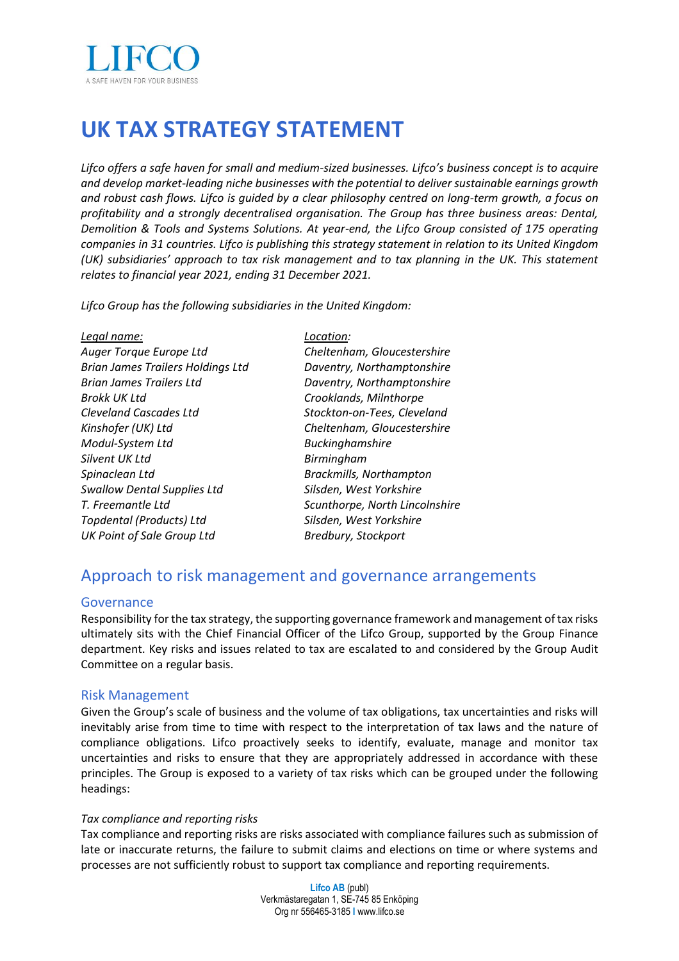

# **UK TAX STRATEGY STATEMENT**

*Lifco offers a safe haven for small and medium-sized businesses. Lifco's business concept is to acquire and develop market-leading niche businesses with the potential to deliver sustainable earnings growth and robust cash flows. Lifco is guided by a clear philosophy centred on long-term growth, a focus on profitability and a strongly decentralised organisation. The Group has three business areas: Dental, Demolition & Tools and Systems Solutions. At year-end, the Lifco Group consisted of 175 operating companies in 31 countries. Lifco is publishing this strategy statement in relation to its United Kingdom (UK) subsidiaries' approach to tax risk management and to tax planning in the UK. This statement relates to financial year 2021, ending 31 December 2021.* 

*Lifco Group has the following subsidiaries in the United Kingdom:*

| Legal name:                              | Location:                      |
|------------------------------------------|--------------------------------|
| Auger Torque Europe Ltd                  | Cheltenham, Gloucestershire    |
| <b>Brian James Trailers Holdings Ltd</b> | Daventry, Northamptonshire     |
| <b>Brian James Trailers Ltd</b>          | Daventry, Northamptonshire     |
| <b>Brokk UK Ltd</b>                      | Crooklands, Milnthorpe         |
| <b>Cleveland Cascades Ltd</b>            | Stockton-on-Tees, Cleveland    |
| Kinshofer (UK) Ltd                       | Cheltenham, Gloucestershire    |
| Modul-System Ltd                         | <b>Buckinghamshire</b>         |
| Silvent UK Ltd                           | Birmingham                     |
| Spinaclean Ltd                           | <b>Brackmills, Northampton</b> |
| <b>Swallow Dental Supplies Ltd</b>       | Silsden, West Yorkshire        |
| T. Freemantle Ltd                        | Scunthorpe, North Lincolnshire |
| Topdental (Products) Ltd                 | Silsden, West Yorkshire        |
| <b>UK Point of Sale Group Ltd</b>        | Bredbury, Stockport            |

### Approach to risk management and governance arrangements

#### Governance

Responsibility for the tax strategy, the supporting governance framework and management of tax risks ultimately sits with the Chief Financial Officer of the Lifco Group, supported by the Group Finance department. Key risks and issues related to tax are escalated to and considered by the Group Audit Committee on a regular basis.

#### Risk Management

Given the Group's scale of business and the volume of tax obligations, tax uncertainties and risks will inevitably arise from time to time with respect to the interpretation of tax laws and the nature of compliance obligations. Lifco proactively seeks to identify, evaluate, manage and monitor tax uncertainties and risks to ensure that they are appropriately addressed in accordance with these principles. The Group is exposed to a variety of tax risks which can be grouped under the following headings:

#### *Tax compliance and reporting risks*

Tax compliance and reporting risks are risks associated with compliance failures such as submission of late or inaccurate returns, the failure to submit claims and elections on time or where systems and processes are not sufficiently robust to support tax compliance and reporting requirements.

> **Lifco AB** (publ) Verkmästaregatan 1, SE-745 85 Enköping Org nr 556465-3185 **I** www.lifco.se